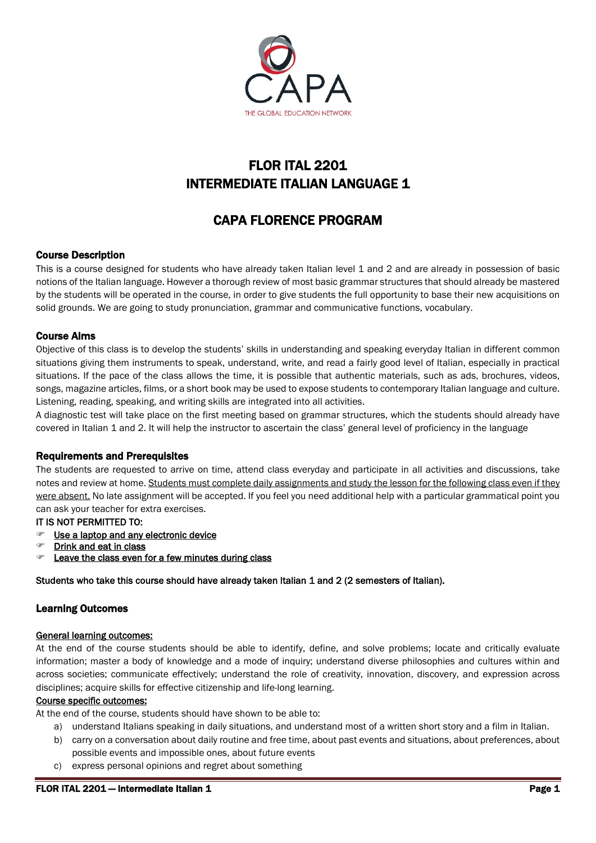

# FLOR ITAL 2201 INTERMEDIATE ITALIAN LANGUAGE 1

# CAPA FLORENCE PROGRAM

## Course Description

This is a course designed for students who have already taken Italian level 1 and 2 and are already in possession of basic notions of the Italian language. However a thorough review of most basic grammar structures that should already be mastered by the students will be operated in the course, in order to give students the full opportunity to base their new acquisitions on solid grounds. We are going to study pronunciation, grammar and communicative functions, vocabulary.

## Course Aims

Objective of this class is to develop the students' skills in understanding and speaking everyday Italian in different common situations giving them instruments to speak, understand, write, and read a fairly good level of Italian, especially in practical situations. If the pace of the class allows the time, it is possible that authentic materials, such as ads, brochures, videos, songs, magazine articles, films, or a short book may be used to expose students to contemporary Italian language and culture. Listening, reading, speaking, and writing skills are integrated into all activities.

A diagnostic test will take place on the first meeting based on grammar structures, which the students should already have covered in Italian 1 and 2. It will help the instructor to ascertain the class' general level of proficiency in the language

## Requirements and Prerequisites

The students are requested to arrive on time, attend class everyday and participate in all activities and discussions, take notes and review at home. Students must complete daily assignments and study the lesson for the following class even if they were absent. No late assignment will be accepted. If you feel you need additional help with a particular grammatical point you can ask your teacher for extra exercises.

## IT IS NOT PERMITTED TO:

- **Example 2** Use a laptop and any electronic device
- Drink and eat in class
- Leave the class even for a few minutes during class

Students who take this course should have already taken Italian 1 and 2 (2 semesters of Italian).

## Learning Outcomes

## General learning outcomes:

At the end of the course students should be able to identify, define, and solve problems; locate and critically evaluate information; master a body of knowledge and a mode of inquiry; understand diverse philosophies and cultures within and across societies; communicate effectively; understand the role of creativity, innovation, discovery, and expression across disciplines; acquire skills for effective citizenship and life-long learning.

## Course specific outcomes:

At the end of the course, students should have shown to be able to:

- a) understand Italians speaking in daily situations, and understand most of a written short story and a film in Italian.
- b) carry on a conversation about daily routine and free time, about past events and situations, about preferences, about possible events and impossible ones, about future events
- c) express personal opinions and regret about something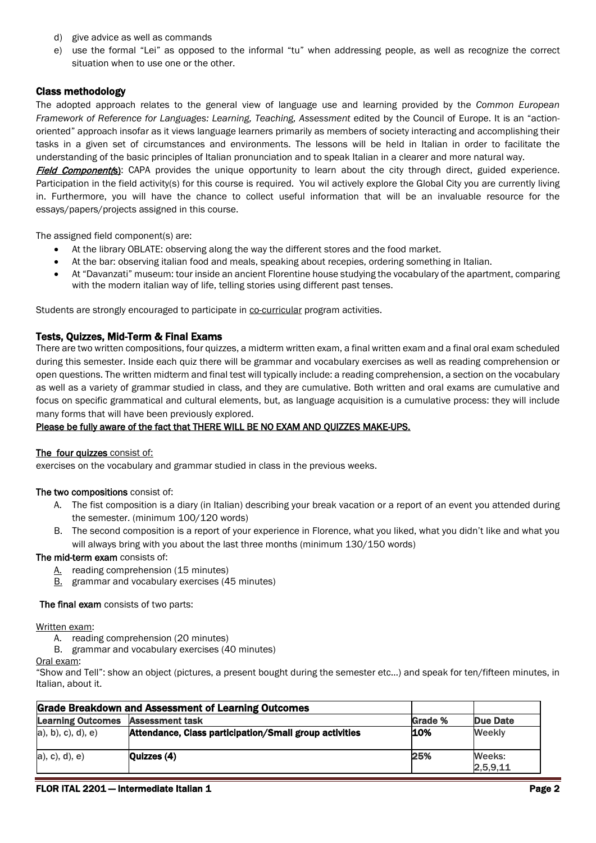- d) give advice as well as commands
- e) use the formal "Lei" as opposed to the informal "tu" when addressing people, as well as recognize the correct situation when to use one or the other.

## Class methodology

The adopted approach relates to the general view of language use and learning provided by the *Common European Framework of Reference for Languages: Learning, Teaching, Assessment edited by the Council of Europe. It is an "action*oriented" approach insofar as it views language learners primarily as members of society interacting and accomplishing their tasks in a given set of circumstances and environments. The lessons will be held in Italian in order to facilitate the understanding of the basic principles of Italian pronunciation and to speak Italian in a clearer and more natural way.

Field Component(s): CAPA provides the unique opportunity to learn about the city through direct, guided experience. Participation in the field activity(s) for this course is required. You wil actively explore the Global City you are currently living in. Furthermore, you will have the chance to collect useful information that will be an invaluable resource for the essays/papers/projects assigned in this course.

The assigned field component(s) are:

- At the library OBLATE: observing along the way the different stores and the food market.
- At the bar: observing italian food and meals, speaking about recepies, ordering something in Italian.
- At "Davanzati" museum: tour inside an ancient Florentine house studying the vocabulary of the apartment, comparing with the modern italian way of life, telling stories using different past tenses.

Students are strongly encouraged to participate in co-curricular program activities.

## Tests, Quizzes, Mid-Term & Final Exams

There are two written compositions, four quizzes, a midterm written exam, a final written exam and a final oral exam scheduled during this semester. Inside each quiz there will be grammar and vocabulary exercises as well as reading comprehension or open questions. The written midterm and final test will typically include: a reading comprehension, a section on the vocabulary as well as a variety of grammar studied in class, and they are cumulative. Both written and oral exams are cumulative and focus on specific grammatical and cultural elements, but, as language acquisition is a cumulative process: they will include many forms that will have been previously explored.

## Please be fully aware of the fact that THERE WILL BE NO EXAM AND QUIZZES MAKE-UPS.

## The four quizzes consist of:

exercises on the vocabulary and grammar studied in class in the previous weeks.

## The two compositions consist of:

- A. The fist composition is a diary (in Italian) describing your break vacation or a report of an event you attended during the semester. (minimum 100/120 words)
- B. The second composition is a report of your experience in Florence, what you liked, what you didn't like and what you will always bring with you about the last three months (minimum 130/150 words)

## The mid-term exam consists of:

- A. reading comprehension (15 minutes)
- **B.** grammar and vocabulary exercises (45 minutes)

## The final exam consists of two parts:

## Written exam:

- A. reading comprehension (20 minutes)
- B. grammar and vocabulary exercises (40 minutes)

Oral exam:

"Show and Tell": show an object (pictures, a present bought during the semester etc…) and speak for ten/fifteen minutes, in Italian, about it.

| <b>Grade Breakdown and Assessment of Learning Outcomes</b> |                                                        |         |                    |
|------------------------------------------------------------|--------------------------------------------------------|---------|--------------------|
| <b>Learning Outcomes</b>                                   | <b>Assessment task</b>                                 | Grade % | Due Date           |
| $a)$ , b), c), d), e)                                      | Attendance, Class participation/Small group activities | 10%     | <b>Weekly</b>      |
| $a)$ , c), d), e)                                          | Quizzes $(4)$                                          | 25%     | Weeks:<br>2,5,9,11 |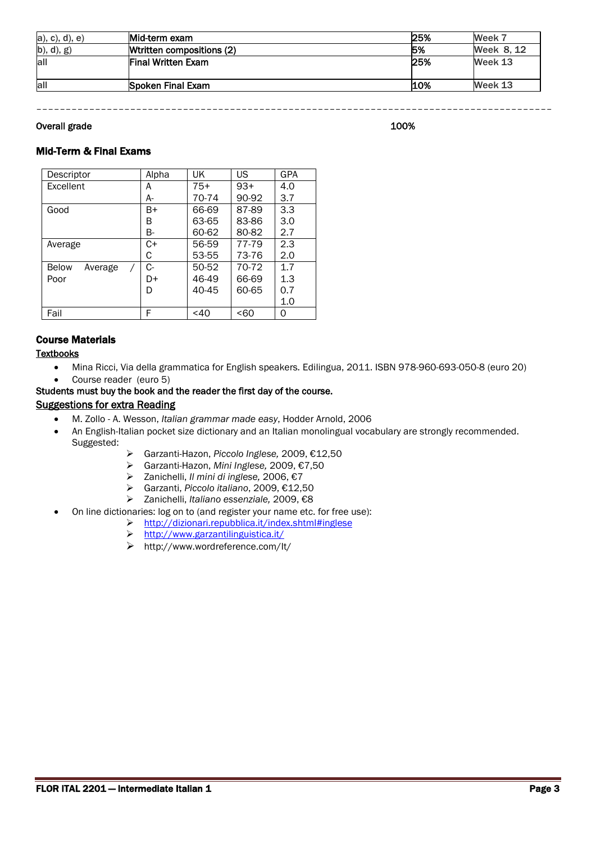| $a)$ , c), d), e) | Mid-term exam             | 25% | Week 7     |
|-------------------|---------------------------|-----|------------|
| b), d), g)        | Weritten compositions (2) | 5%  | Week 8, 12 |
| all               | <b>Final Written Exam</b> | 25% | Week 13    |
|                   |                           |     |            |
| all               | Spoken Final Exam         | 10% | Week 13    |

––––––––––––––––––––––––––––––––––––––––––––––––––––––––––––––––––––––––––––––––––––––––

## Overall grade 200% and the set of the set of the set of the set of the set of the set of the set of the set of the set of the set of the set of the set of the set of the set of the set of the set of the set of the set of t

## Mid-Term & Final Exams

| Descriptor              | Alpha | UK        | US    | GPA |
|-------------------------|-------|-----------|-------|-----|
| Excellent               | A     | $75+$     | $93+$ | 4.0 |
|                         | A-    | 70-74     | 90-92 | 3.7 |
| Good                    | B+    | 66-69     | 87-89 | 3.3 |
|                         | В     | 63-65     | 83-86 | 3.0 |
|                         | В-    | 60-62     | 80-82 | 2.7 |
| Average                 | C+    | 56-59     | 77-79 | 2.3 |
|                         | С     | 53-55     | 73-76 | 2.0 |
| <b>Below</b><br>Average | C-    | 50-52     | 70-72 | 1.7 |
| Poor                    | D+    | 46-49     | 66-69 | 1.3 |
|                         | D     | $40 - 45$ | 60-65 | 0.7 |
|                         |       |           |       | 1.0 |
| Fail                    | F     | $<$ 40    | <60   | 0   |

## Course Materials

## **Textbooks**

- Mina Ricci, Via della grammatica for English speakers*.* Edilingua, 2011. ISBN 978-960-693-050-8 (euro 20)
- Course reader (euro 5)

## Students must buy the book and the reader the first day of the course.

## Suggestions for extra Reading

- M. Zollo A. Wesson, *Italian grammar made easy*, Hodder Arnold, 2006
- An English-Italian pocket size dictionary and an Italian monolingual vocabulary are strongly recommended. Suggested:
	- Garzanti-Hazon, *Piccolo Inglese,* 2009, €12,50
	- Garzanti-Hazon, *Mini Inglese,* 2009, €7,50
	- Zanichelli, *Il mini di inglese,* 2006, €7
	- Garzanti, *Piccolo italiano*, 2009, €12,50
	- Zanichelli, *Italiano essenziale,* 2009, €8
	- On line dictionaries: log on to (and register your name etc. for free use):
		- <http://dizionari.repubblica.it/index.shtml#inglese>
			- <http://www.garzantilinguistica.it/>
			- http://www.wordreference.com/It/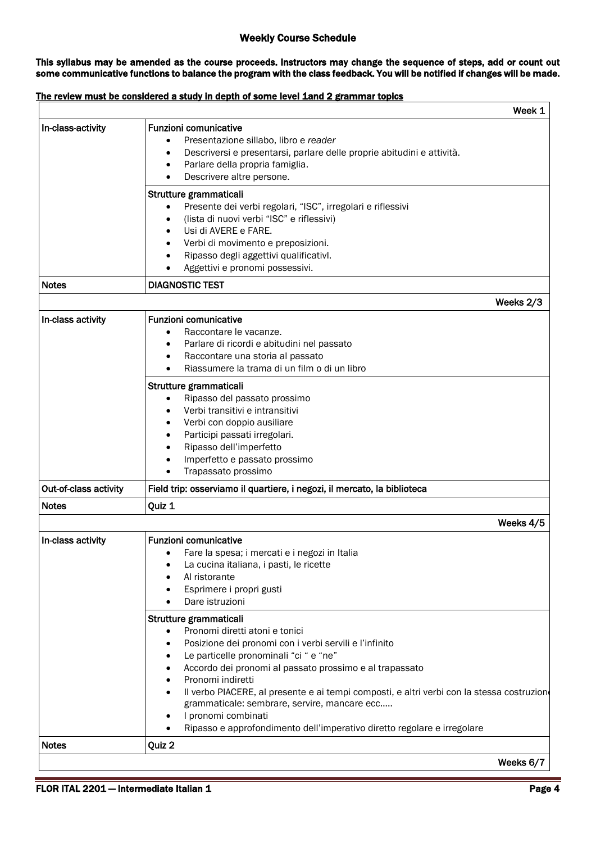## Weekly Course Schedule

This syllabus may be amended as the course proceeds. Instructors may change the sequence of steps, add or count out some communicative functions to balance the program with the class feedback. You will be notified if changes will be made.

## The review must be considered a study in depth of some level 1and 2 grammar topics

|                       |                                                                                                                                                                                                                                                                                                                                                                                                                                                                                                           | Week 1    |
|-----------------------|-----------------------------------------------------------------------------------------------------------------------------------------------------------------------------------------------------------------------------------------------------------------------------------------------------------------------------------------------------------------------------------------------------------------------------------------------------------------------------------------------------------|-----------|
| In-class-activity     | <b>Funzioni comunicative</b><br>Presentazione sillabo, libro e reader<br>$\bullet$<br>Descriversi e presentarsi, parlare delle proprie abitudini e attività.<br>$\bullet$<br>Parlare della propria famiglia.<br>٠<br>Descrivere altre persone.<br>Strutture grammaticali                                                                                                                                                                                                                                  |           |
|                       | Presente dei verbi regolari, "ISC", irregolari e riflessivi<br>(lista di nuovi verbi "ISC" e riflessivi)<br>Usi di AVERE e FARE.<br>Verbi di movimento e preposizioni.<br>Ripasso degli aggettivi qualificativl.<br>٠<br>Aggettivi e pronomi possessivi.                                                                                                                                                                                                                                                  |           |
| <b>Notes</b>          | <b>DIAGNOSTIC TEST</b>                                                                                                                                                                                                                                                                                                                                                                                                                                                                                    |           |
|                       | Weeks 2/3                                                                                                                                                                                                                                                                                                                                                                                                                                                                                                 |           |
| In-class activity     | <b>Funzioni comunicative</b><br>Raccontare le vacanze.<br>$\bullet$<br>Parlare di ricordi e abitudini nel passato<br>$\bullet$<br>Raccontare una storia al passato<br>$\bullet$<br>Riassumere la trama di un film o di un libro                                                                                                                                                                                                                                                                           |           |
|                       | Strutture grammaticali<br>Ripasso del passato prossimo<br>Verbi transitivi e intransitivi<br>Verbi con doppio ausiliare<br>Participi passati irregolari.<br>$\bullet$<br>Ripasso dell'imperfetto<br>Imperfetto e passato prossimo<br>Trapassato prossimo<br>$\bullet$                                                                                                                                                                                                                                     |           |
| Out-of-class activity | Field trip: osserviamo il quartiere, i negozi, il mercato, la biblioteca                                                                                                                                                                                                                                                                                                                                                                                                                                  |           |
| <b>Notes</b>          | Quiz 1                                                                                                                                                                                                                                                                                                                                                                                                                                                                                                    |           |
|                       |                                                                                                                                                                                                                                                                                                                                                                                                                                                                                                           | Weeks 4/5 |
| In-class activity     | <b>Funzioni comunicative</b><br>Fare la spesa; i mercati e i negozi in Italia<br>La cucina italiana, i pasti, le ricette<br>Al ristorante<br>Esprimere i propri gusti<br>Dare istruzioni<br>$\bullet$                                                                                                                                                                                                                                                                                                     |           |
|                       | Strutture grammaticali<br>Pronomi diretti atoni e tonici<br>$\bullet$<br>Posizione dei pronomi con i verbi servili e l'infinito<br>Le particelle pronominali "ci " e "ne"<br>Accordo dei pronomi al passato prossimo e al trapassato<br>Pronomi indiretti<br>Il verbo PIACERE, al presente e ai tempi composti, e altri verbi con la stessa costruziono<br>grammaticale: sembrare, servire, mancare ecc<br>I pronomi combinati<br>Ripasso e approfondimento dell'imperativo diretto regolare e irregolare |           |
|                       |                                                                                                                                                                                                                                                                                                                                                                                                                                                                                                           |           |
| <b>Notes</b>          | Quiz 2                                                                                                                                                                                                                                                                                                                                                                                                                                                                                                    |           |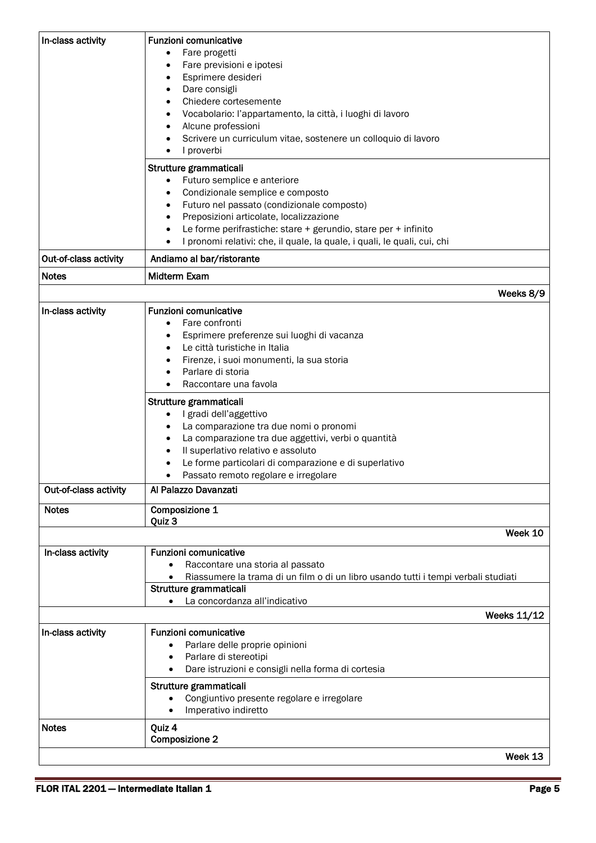|                       | Fare previsioni e ipotesi<br>$\bullet$<br>Esprimere desideri<br>$\bullet$<br>Dare consigli<br>$\bullet$<br>Chiedere cortesemente<br>Vocabolario: l'appartamento, la città, i luoghi di lavoro<br>$\bullet$<br>Alcune professioni<br>٠<br>Scrivere un curriculum vitae, sostenere un colloquio di lavoro<br>$\bullet$<br>I proverbi<br>Strutture grammaticali<br>Futuro semplice e anteriore<br>Condizionale semplice e composto<br>Futuro nel passato (condizionale composto)<br>Preposizioni articolate, localizzazione<br>Le forme perifrastiche: stare + gerundio, stare per + infinito |  |
|-----------------------|--------------------------------------------------------------------------------------------------------------------------------------------------------------------------------------------------------------------------------------------------------------------------------------------------------------------------------------------------------------------------------------------------------------------------------------------------------------------------------------------------------------------------------------------------------------------------------------------|--|
| Out-of-class activity | I pronomi relativi: che, il quale, la quale, i quali, le quali, cui, chi<br>Andiamo al bar/ristorante                                                                                                                                                                                                                                                                                                                                                                                                                                                                                      |  |
| <b>Notes</b>          | Midterm Exam                                                                                                                                                                                                                                                                                                                                                                                                                                                                                                                                                                               |  |
|                       | Weeks 8/9                                                                                                                                                                                                                                                                                                                                                                                                                                                                                                                                                                                  |  |
| In-class activity     | <b>Funzioni comunicative</b><br>Fare confronti<br>$\bullet$<br>Esprimere preferenze sui luoghi di vacanza<br>Le città turistiche in Italia<br>Firenze, i suoi monumenti, la sua storia<br>Parlare di storia<br>Raccontare una favola                                                                                                                                                                                                                                                                                                                                                       |  |
|                       | Strutture grammaticali<br>I gradi dell'aggettivo<br>La comparazione tra due nomi o pronomi<br>٠<br>La comparazione tra due aggettivi, verbi o quantità<br>$\bullet$<br>Il superlativo relativo e assoluto<br>$\bullet$<br>Le forme particolari di comparazione e di superlativo<br>Passato remoto regolare e irregolare<br>$\bullet$                                                                                                                                                                                                                                                       |  |
| Out-of-class activity | Al Palazzo Davanzati                                                                                                                                                                                                                                                                                                                                                                                                                                                                                                                                                                       |  |
| <b>Notes</b>          | Composizione 1                                                                                                                                                                                                                                                                                                                                                                                                                                                                                                                                                                             |  |
|                       | Quiz 3<br>Week 10                                                                                                                                                                                                                                                                                                                                                                                                                                                                                                                                                                          |  |
| In-class activity     | <b>Funzioni comunicative</b><br>Raccontare una storia al passato<br>$\bullet$<br>Riassumere la trama di un film o di un libro usando tutti i tempi verbali studiati<br>Strutture grammaticali<br>La concordanza all'indicativo<br><b>Weeks 11/12</b>                                                                                                                                                                                                                                                                                                                                       |  |
| In-class activity     | <b>Funzioni comunicative</b><br>Parlare delle proprie opinioni<br>Parlare di stereotipi<br>Dare istruzioni e consigli nella forma di cortesia<br>Strutture grammaticali<br>Congiuntivo presente regolare e irregolare<br>$\bullet$<br>Imperativo indiretto                                                                                                                                                                                                                                                                                                                                 |  |
| <b>Notes</b>          | Quiz 4<br><b>Composizione 2</b><br>Week 13                                                                                                                                                                                                                                                                                                                                                                                                                                                                                                                                                 |  |